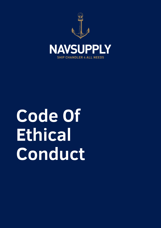

# **Code Of Ethical Conduct**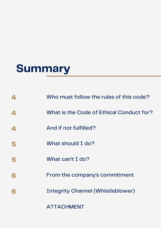### **Summary**

| $\blacktriangle$ | Who must follow the rules of this code?  |
|------------------|------------------------------------------|
| 4                | What is the Code of Ethical Conduct for? |
| 4                | And if not fulfilled?                    |
|                  | What should I do?                        |
|                  | What can't I do?                         |
| 6                | From the company's commitment            |
|                  | <b>Integrity Channel (Whistleblower)</b> |
|                  |                                          |

ATTACHMENT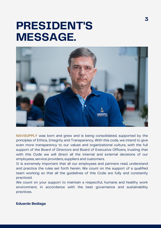### **PRESIDENT'S MESSAGE.**



**NAVSUPPLY** was born and grew and is being consolidated, supported by the principles of Ethics, Integrity and Transparency. With this code, we intend to give even more transparency to our values and organizational culture, with the full support of the Board of Directors and Board of Executive Officers, trusting that with this Code we will direct all the internal and external decisions of our employees, service providers, suppliers and customers.

It is extremely important that all our employees and partners read, understand and practice the rules set forth herein. We count on the support of a qualified team working so that all the guidelines of this Code are fully and constantly practiced.

We count on your support to maintain a respectful, humane and healthy work environment, in accordance with the best governance and sustainability practices.

#### **Eduardo Bediaga**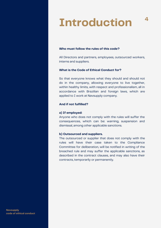### **Introduction**

**4**

#### **Who must follow the rules of this code?**

All Directors and partners, employees, outsourced workers, interns and suppliers.

#### **What is the Code of Ethical Conduct for?**

So that everyone knows what they should and should not do in the company, allowing everyone to live together, within healthy limits, with respect and professionalism, all in accordance with Brazilian and foreign laws, which are applied to I work at Navsupply company.

#### **And if not fulfilled?**

#### **a) If employed:**

Anyone who does not comply with the rules will suffer the consequences, which can be: warning, suspension and dismissal, among other applicable sanctions.

#### **b) Outsourced and suppliers.**

The outsourced or supplier that does not comply with the rules will have their case taken to the Compliance Committee for deliberation, will be notified in writing of the breached rule and may suffer the applicable sanctions, as described in the contract clauses, and may also have their contracts, temporarily or permanently.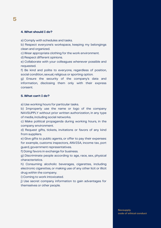#### **4. What should I do?**

a) Comply with schedules and tasks.

b) Respect everyone's workspace, keeping my belongings clean and organized.

c) Wear appropriate clothing for the work environment.

d) Respect different opinions.

e) Collaborate with your colleagues whenever possible and requested.

f) Be kind and polite to everyone, regardless of position, social condition, sexual, religious or sporting option.

g) Ensure the security of the company's data and information, disclosing them only with their express consent.

#### **5. What can't I do?**

a) Use working hours for particular tasks.

b) Improperly use the name or logo of the company NAVSUPPLY without prior written authorization, in any type of media, including social networks.

c) Make political propaganda during working hours, in the company environment.

d) Request gifts, tickets, invitations or favors of any kind from suppliers.

e) Give gifts to public agents, or offer to pay their expenses: for example, customs inspectors, ANVISA, income tax, port guard, government representatives.

f) Doing favors in exchange for business.

g) Discriminate people according to age, race, sex, physical characteristics.

h) Consuming alcoholic beverages, cigarettes, including electronic cigarettes, or making use of any other licit or illicit drug within the company.

i) Coming to work intoxicated.

j) Use secret company information to gain advantages for themselves or other people.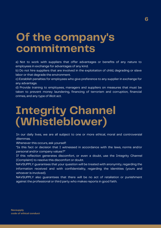### **Of the company's commitments**

a) Not to work with suppliers that offer advantages or benefits of any nature to employees in exchange for advantages of any kind.

**6**

b) Do not hire suppliers that are involved in the exploitation of child, degrading or slave labor or that degrade the environment.

c) Establish penalties for employees who give preference to any supplier in exchange for any advantage.

d) Provide training to employees, managers and suppliers on measures that must be taken to prevent money laundering, financing of terrorism and corruption, financial crimes, and any type of illicit act.

### **Integrity Channel (Whistleblower)**

In our daily lives, we are all subject to one or more ethical, moral and controversial dilemmas.

Whenever this occurs, ask yourself:

"Is this fact or decision that I witnessed in accordance with the laws, norms and/or personal and/or company values?"

If this reflection generates discomfort, or even a doubt, use the Integrity Channel (Complaint) to resolve this discomfort or doubt.

NAVSUPPLY guarantees that your question will be treated with anonymity, regarding the information received and with confidentiality, regarding the identities (yours and whoever is involved).

NAVSUPPLY also guarantees that there will be no act of retaliation or punishment against the professional or third party who makes reports in good faith.